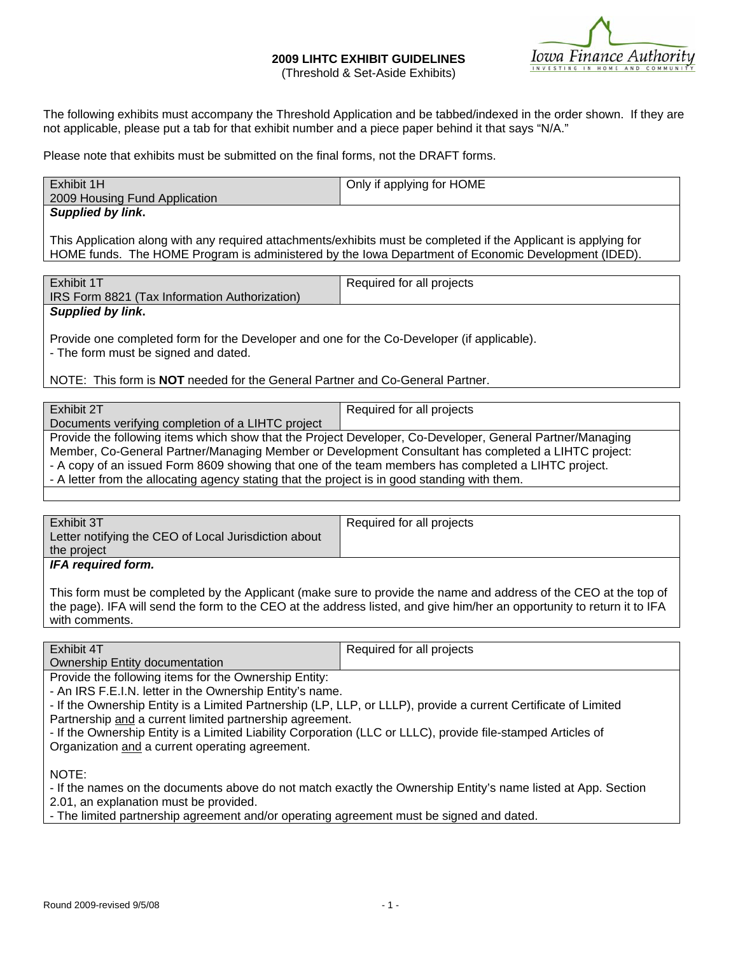#### **2009 LIHTC EXHIBIT GUIDELINES**  (Threshold & Set-Aside Exhibits)



The following exhibits must accompany the Threshold Application and be tabbed/indexed in the order shown. If they are not applicable, please put a tab for that exhibit number and a piece paper behind it that says "N/A."

Please note that exhibits must be submitted on the final forms, not the DRAFT forms.

| Exhibit 1H                                                                                                       | Only if applying for HOME |  |
|------------------------------------------------------------------------------------------------------------------|---------------------------|--|
| 2009 Housing Fund Application                                                                                    |                           |  |
| <b>Supplied by link.</b>                                                                                         |                           |  |
|                                                                                                                  |                           |  |
| This Application along with any required attachments/exhibits must be completed if the Applicant is applying for |                           |  |
| HOME funds. The HOME Program is administered by the lowa Department of Economic Development (IDED).              |                           |  |

| Exhibit 1T                                                                                 | Required for all projects |  |
|--------------------------------------------------------------------------------------------|---------------------------|--|
| IRS Form 8821 (Tax Information Authorization)                                              |                           |  |
|                                                                                            |                           |  |
| <b>Supplied by link.</b>                                                                   |                           |  |
|                                                                                            |                           |  |
| Provide one completed form for the Developer and one for the Co-Developer (if applicable). |                           |  |
|                                                                                            |                           |  |
| - The form must be signed and dated.                                                       |                           |  |
|                                                                                            |                           |  |

## NOTE: This form is **NOT** needed for the General Partner and Co-General Partner.

| Exhibit 2T                                                                                          | Required for all projects                                                                                 |  |
|-----------------------------------------------------------------------------------------------------|-----------------------------------------------------------------------------------------------------------|--|
| Documents verifying completion of a LIHTC project                                                   |                                                                                                           |  |
|                                                                                                     | Provide the following items which show that the Project Developer, Co-Developer, General Partner/Managing |  |
| Member, Co-General Partner/Managing Member or Development Consultant has completed a LIHTC project: |                                                                                                           |  |
| - A copy of an issued Form 8609 showing that one of the team members has completed a LIHTC project. |                                                                                                           |  |
| - A letter from the allocating agency stating that the project is in good standing with them.       |                                                                                                           |  |
|                                                                                                     |                                                                                                           |  |

| Exhibit 3T<br>Letter notifying the CEO of Local Jurisdiction about | Required for all projects |
|--------------------------------------------------------------------|---------------------------|
| the project                                                        |                           |
| <b>IFA required form.</b>                                          |                           |

This form must be completed by the Applicant (make sure to provide the name and address of the CEO at the top of the page). IFA will send the form to the CEO at the address listed, and give him/her an opportunity to return it to IFA with comments.

| <b>Exhibit</b>                               | <sup>r</sup> all projects<br>equired for |
|----------------------------------------------|------------------------------------------|
| <b>Jwnership</b><br>≒documentation<br>Entit∨ |                                          |

Provide the following items for the Ownership Entity:

- An IRS F.E.I.N. letter in the Ownership Entity's name.

- If the Ownership Entity is a Limited Partnership (LP, LLP, or LLLP), provide a current Certificate of Limited Partnership and a current limited partnership agreement.

- If the Ownership Entity is a Limited Liability Corporation (LLC or LLLC), provide file-stamped Articles of Organization and a current operating agreement.

NOTE:

- If the names on the documents above do not match exactly the Ownership Entity's name listed at App. Section 2.01, an explanation must be provided.

- The limited partnership agreement and/or operating agreement must be signed and dated.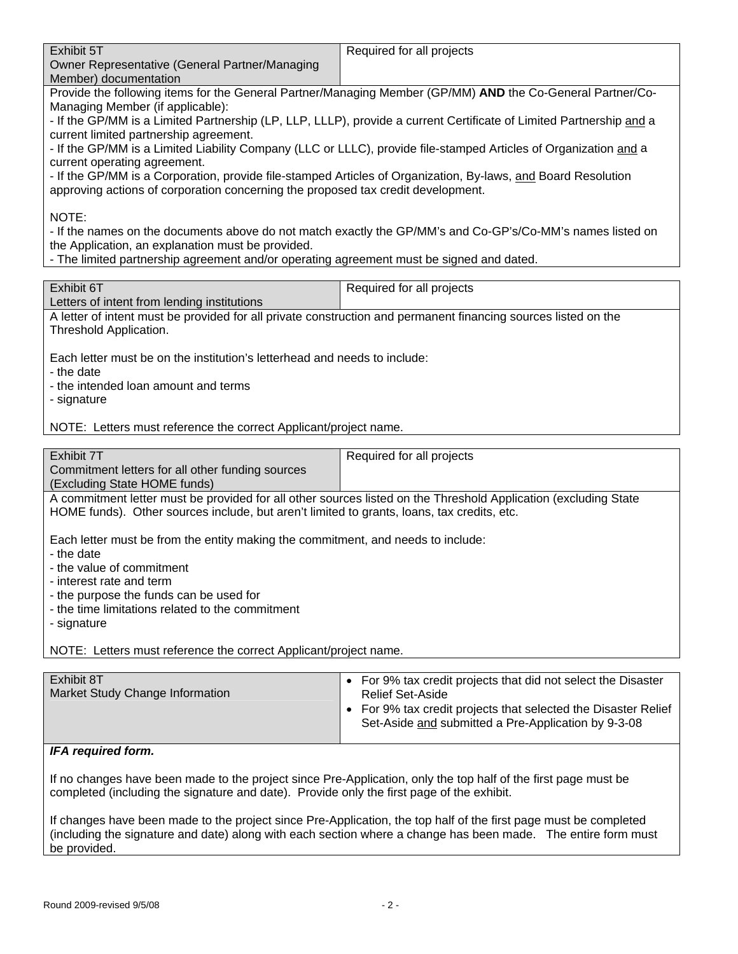| Exhibit 5T                                                                                                     | Required for all projects                                                                                           |  |
|----------------------------------------------------------------------------------------------------------------|---------------------------------------------------------------------------------------------------------------------|--|
| Owner Representative (General Partner/Managing                                                                 |                                                                                                                     |  |
| Member) documentation                                                                                          |                                                                                                                     |  |
|                                                                                                                | Provide the following items for the General Partner/Managing Member (GP/MM) AND the Co-General Partner/Co-          |  |
| Managing Member (if applicable):                                                                               |                                                                                                                     |  |
|                                                                                                                | - If the GP/MM is a Limited Partnership (LP, LLP, LLLP), provide a current Certificate of Limited Partnership and a |  |
| current limited partnership agreement.                                                                         |                                                                                                                     |  |
|                                                                                                                | - If the GP/MM is a Limited Liability Company (LLC or LLLC), provide file-stamped Articles of Organization and a    |  |
| current operating agreement.                                                                                   |                                                                                                                     |  |
|                                                                                                                | - If the GP/MM is a Corporation, provide file-stamped Articles of Organization, By-laws, and Board Resolution       |  |
| approving actions of corporation concerning the proposed tax credit development.                               |                                                                                                                     |  |
|                                                                                                                |                                                                                                                     |  |
| NOTE:                                                                                                          |                                                                                                                     |  |
|                                                                                                                | - If the names on the documents above do not match exactly the GP/MM's and Co-GP's/Co-MM's names listed on          |  |
| the Application, an explanation must be provided.                                                              |                                                                                                                     |  |
| - The limited partnership agreement and/or operating agreement must be signed and dated.                       |                                                                                                                     |  |
|                                                                                                                |                                                                                                                     |  |
| Exhibit 6T                                                                                                     | Required for all projects                                                                                           |  |
| Letters of intent from lending institutions                                                                    |                                                                                                                     |  |
| A letter of intent must be provided for all private construction and permanent financing sources listed on the |                                                                                                                     |  |
| Threshold Application.                                                                                         |                                                                                                                     |  |
|                                                                                                                |                                                                                                                     |  |
| Each letter must be on the institution's letterhead and needs to include:                                      |                                                                                                                     |  |
| - the date                                                                                                     |                                                                                                                     |  |
| - the intended loan amount and terms                                                                           |                                                                                                                     |  |
| - signature                                                                                                    |                                                                                                                     |  |
|                                                                                                                |                                                                                                                     |  |
| NOTE: Letters must reference the correct Applicant/project name.                                               |                                                                                                                     |  |
|                                                                                                                |                                                                                                                     |  |
| Exhibit 7T                                                                                                     | Required for all projects                                                                                           |  |
| Commitment letters for all other funding sources                                                               |                                                                                                                     |  |
| (Excluding State HOME funds)                                                                                   |                                                                                                                     |  |
|                                                                                                                | A commitment letter must be provided for all other sources listed on the Threshold Application (excluding State     |  |
| HOME funds). Other sources include, but aren't limited to grants, loans, tax credits, etc.                     |                                                                                                                     |  |
|                                                                                                                |                                                                                                                     |  |
| Each letter must be from the entity making the commitment, and needs to include:                               |                                                                                                                     |  |
| - the date                                                                                                     |                                                                                                                     |  |
| - the value of commitment                                                                                      |                                                                                                                     |  |
| - interest rate and term                                                                                       |                                                                                                                     |  |
| - the purpose the funds can be used for                                                                        |                                                                                                                     |  |
| - the time limitations related to the commitment                                                               |                                                                                                                     |  |
| - signature                                                                                                    |                                                                                                                     |  |
|                                                                                                                |                                                                                                                     |  |
| NOTE: Letters must reference the correct Applicant/project name.                                               |                                                                                                                     |  |
|                                                                                                                |                                                                                                                     |  |
| Exhibit 8T                                                                                                     | • For 9% tax credit projects that did not select the Disaster                                                       |  |
| Market Study Change Information                                                                                | <b>Relief Set-Aside</b>                                                                                             |  |
|                                                                                                                | • For 9% tax credit projects that selected the Disaster Relief                                                      |  |
|                                                                                                                | Set-Aside and submitted a Pre-Application by 9-3-08                                                                 |  |

# *IFA required form.*

If no changes have been made to the project since Pre-Application, only the top half of the first page must be completed (including the signature and date). Provide only the first page of the exhibit.

If changes have been made to the project since Pre-Application, the top half of the first page must be completed (including the signature and date) along with each section where a change has been made. The entire form must be provided.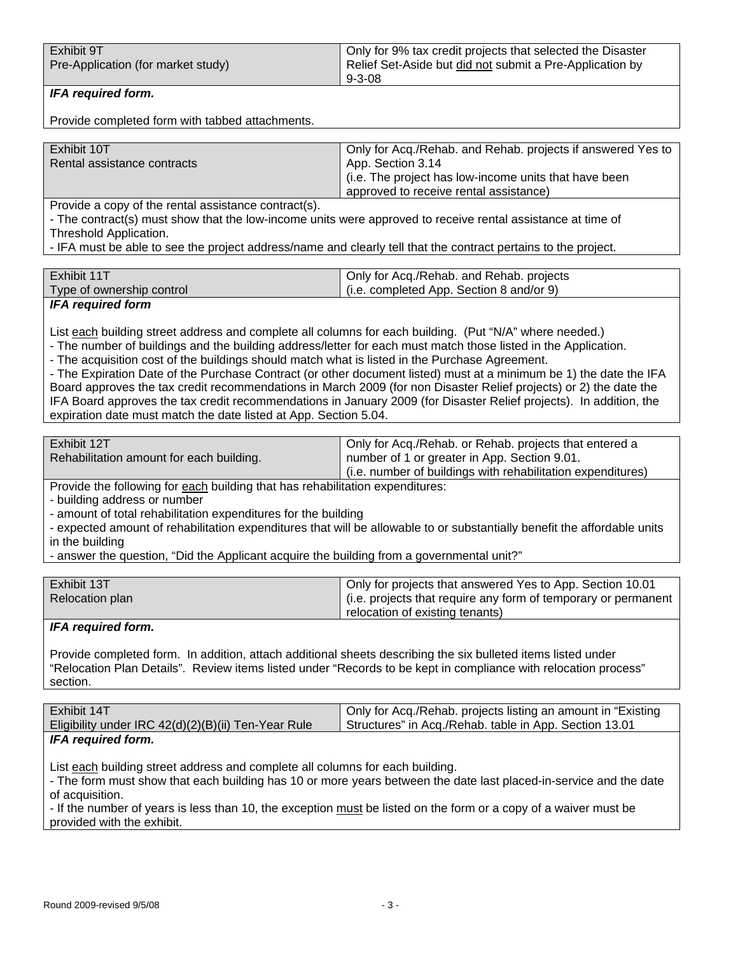| Exhibit 9T                         | Only for 9% tax credit projects that selected the Disaster |
|------------------------------------|------------------------------------------------------------|
| Pre-Application (for market study) | Relief Set-Aside but did not submit a Pre-Application by   |
|                                    | $9 - 3 - 08$                                               |

# *IFA required form.*

Provide completed form with tabbed attachments.

| Exhibit 10T                 | Only for Acq./Rehab. and Rehab. projects if answered Yes to |
|-----------------------------|-------------------------------------------------------------|
| Rental assistance contracts | App. Section 3.14                                           |
|                             | (i.e. The project has low-income units that have been       |
|                             | approved to receive rental assistance)                      |

Provide a copy of the rental assistance contract(s).

- The contract(s) must show that the low-income units were approved to receive rental assistance at time of Threshold Application.

- IFA must be able to see the project address/name and clearly tell that the contract pertains to the project.

| Exhibit 11T               | Only for Acq./Rehab. and Rehab. projects |
|---------------------------|------------------------------------------|
| Type of ownership control | (i.e. completed App. Section 8 and/or 9) |
|                           |                                          |

## *IFA required form*

List each building street address and complete all columns for each building. (Put "N/A" where needed.)

- The number of buildings and the building address/letter for each must match those listed in the Application.
- The acquisition cost of the buildings should match what is listed in the Purchase Agreement.
- The Expiration Date of the Purchase Contract (or other document listed) must at a minimum be 1) the date the IFA Board approves the tax credit recommendations in March 2009 (for non Disaster Relief projects) or 2) the date the IFA Board approves the tax credit recommendations in January 2009 (for Disaster Relief projects). In addition, the expiration date must match the date listed at App. Section 5.04.

| Exhibit 12T                              | Only for Acq./Rehab. or Rehab. projects that entered a      |
|------------------------------------------|-------------------------------------------------------------|
| Rehabilitation amount for each building. | I number of 1 or greater in App. Section 9.01.              |
|                                          | (i.e. number of buildings with rehabilitation expenditures) |

Provide the following for each building that has rehabilitation expenditures:

- building address or number

- amount of total rehabilitation expenditures for the building

- expected amount of rehabilitation expenditures that will be allowable to or substantially benefit the affordable units in the building

- answer the question, "Did the Applicant acquire the building from a governmental unit?"

| Exhibit 13T     | Only for projects that answered Yes to App. Section 10.01      |
|-----------------|----------------------------------------------------------------|
| Relocation plan | (i.e. projects that require any form of temporary or permanent |
|                 | relocation of existing tenants)                                |

## *IFA required form.*

Provide completed form. In addition, attach additional sheets describing the six bulleted items listed under "Relocation Plan Details". Review items listed under "Records to be kept in compliance with relocation process" section.

| Exhibit 14T                                         | ' Only for Acq./Rehab. projects listing an amount in "Existing |
|-----------------------------------------------------|----------------------------------------------------------------|
| Eligibility under IRC 42(d)(2)(B)(ii) Ten-Year Rule | ∆ Structures" in Acq./Rehab. table in App. Section 13.01       |
| IFA reauired form.                                  |                                                                |

List each building street address and complete all columns for each building.

- The form must show that each building has 10 or more years between the date last placed-in-service and the date of acquisition.

- If the number of years is less than 10, the exception must be listed on the form or a copy of a waiver must be provided with the exhibit.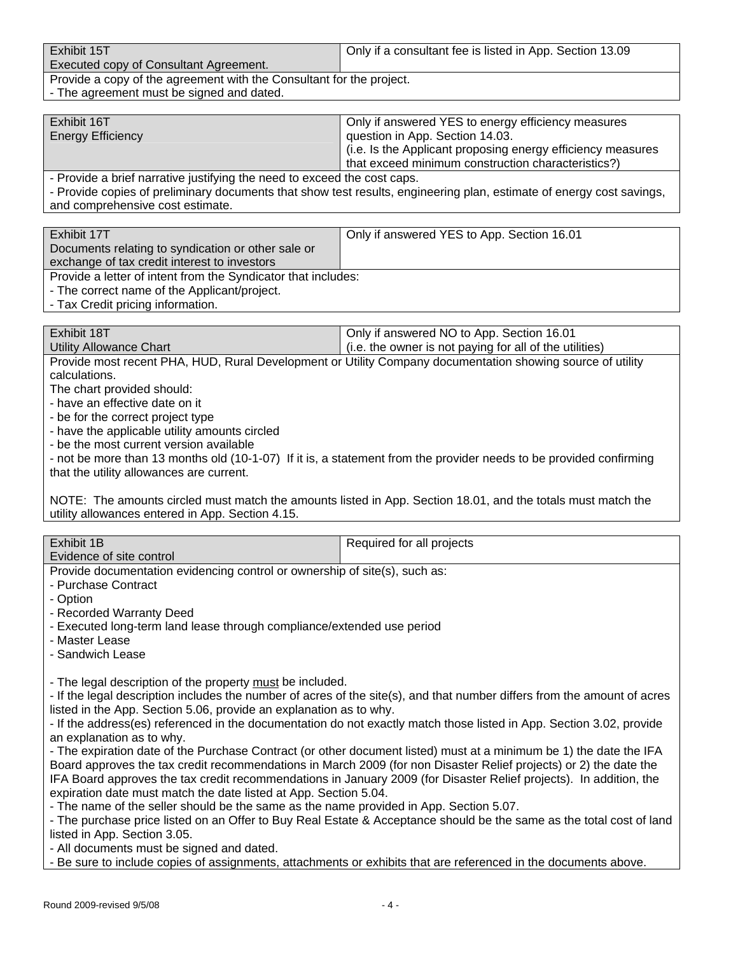| Exhibit 15T                                                          | Only if a consultant fee is listed in App. Section 13.09 |
|----------------------------------------------------------------------|----------------------------------------------------------|
| Executed copy of Consultant Agreement.                               |                                                          |
| Provide a copy of the agreement with the Consultant for the project. |                                                          |

| - The agreement must be signed and dated.

| Exhibit 16T                                                                        | Only if answered YES to energy efficiency measures            |
|------------------------------------------------------------------------------------|---------------------------------------------------------------|
| <b>Energy Efficiency</b>                                                           | question in App. Section 14.03.                               |
|                                                                                    | l (i.e. Is the Applicant proposing energy efficiency measures |
|                                                                                    | that exceed minimum construction characteristics?)            |
| Described a la sia fragmatical in atificia a tha magad to located that again again |                                                               |

- Provide a brief narrative justifying the need to exceed the cost caps.

- Provide copies of preliminary documents that show test results, engineering plan, estimate of energy cost savings, and comprehensive cost estimate.

| Exhibit 17T                                                   | Only if answered YES to App. Section 16.01 |
|---------------------------------------------------------------|--------------------------------------------|
| Documents relating to syndication or other sale or            |                                            |
|                                                               |                                            |
| exchange of tax credit interest to investors                  |                                            |
| Provide a letter of intent from the Syndicator that includes: |                                            |
| - The correct name of the Applicant/project.                  |                                            |
| Tey Overlit mulation information                              |                                            |

- Tax Credit pricing information.

| Exhibit 18T                                                                                                 | Only if answered NO to App. Section 16.01               |
|-------------------------------------------------------------------------------------------------------------|---------------------------------------------------------|
| Utility Allowance Chart                                                                                     | (i.e. the owner is not paying for all of the utilities) |
| Drevials meast researt DUA UUD, Dural Davalameant ar Hills: Company desumentation opening source of utility |                                                         |

Provide most recent PHA, HUD, Rural Development or Utility Company documentation showing source of utility calculations.

The chart provided should:

- have an effective date on it

- be for the correct project type - have the applicable utility amounts circled

- be the most current version available

- not be more than 13 months old (10-1-07) If it is, a statement from the provider needs to be provided confirming

that the utility allowances are current.

NOTE: The amounts circled must match the amounts listed in App. Section 18.01, and the totals must match the utility allowances entered in App. Section 4.15.

| Exhibit 1B                                                                                                                                                                                     | Required for all projects                                                                                          |  |
|------------------------------------------------------------------------------------------------------------------------------------------------------------------------------------------------|--------------------------------------------------------------------------------------------------------------------|--|
| Evidence of site control                                                                                                                                                                       |                                                                                                                    |  |
| Provide documentation evidencing control or ownership of site(s), such as:                                                                                                                     |                                                                                                                    |  |
| - Purchase Contract                                                                                                                                                                            |                                                                                                                    |  |
| - Option                                                                                                                                                                                       |                                                                                                                    |  |
| - Recorded Warranty Deed                                                                                                                                                                       |                                                                                                                    |  |
| - Executed long-term land lease through compliance/extended use period                                                                                                                         |                                                                                                                    |  |
| - Master Lease                                                                                                                                                                                 |                                                                                                                    |  |
| - Sandwich Lease                                                                                                                                                                               |                                                                                                                    |  |
|                                                                                                                                                                                                |                                                                                                                    |  |
| - The legal description of the property must be included.                                                                                                                                      |                                                                                                                    |  |
| - If the legal description includes the number of acres of the site(s), and that number differs from the amount of acres<br>listed in the App. Section 5.06, provide an explanation as to why. |                                                                                                                    |  |
|                                                                                                                                                                                                |                                                                                                                    |  |
| - If the address(es) referenced in the documentation do not exactly match those listed in App. Section 3.02, provide<br>an explanation as to why.                                              |                                                                                                                    |  |
| - The expiration date of the Purchase Contract (or other document listed) must at a minimum be 1) the date the IFA                                                                             |                                                                                                                    |  |
| Board approves the tax credit recommendations in March 2009 (for non Disaster Relief projects) or 2) the date the                                                                              |                                                                                                                    |  |
|                                                                                                                                                                                                | IFA Board approves the tax credit recommendations in January 2009 (for Disaster Relief projects). In addition, the |  |
| expiration date must match the date listed at App. Section 5.04.                                                                                                                               |                                                                                                                    |  |
| - The name of the seller should be the same as the name provided in App. Section 5.07.                                                                                                         |                                                                                                                    |  |
| - The purchase price listed on an Offer to Buy Real Estate & Acceptance should be the same as the total cost of land                                                                           |                                                                                                                    |  |
| listed in App. Section 3.05.                                                                                                                                                                   |                                                                                                                    |  |
| - All documents must be signed and dated.                                                                                                                                                      |                                                                                                                    |  |
|                                                                                                                                                                                                | - Be sure to include copies of assignments, attachments or exhibits that are referenced in the documents above.    |  |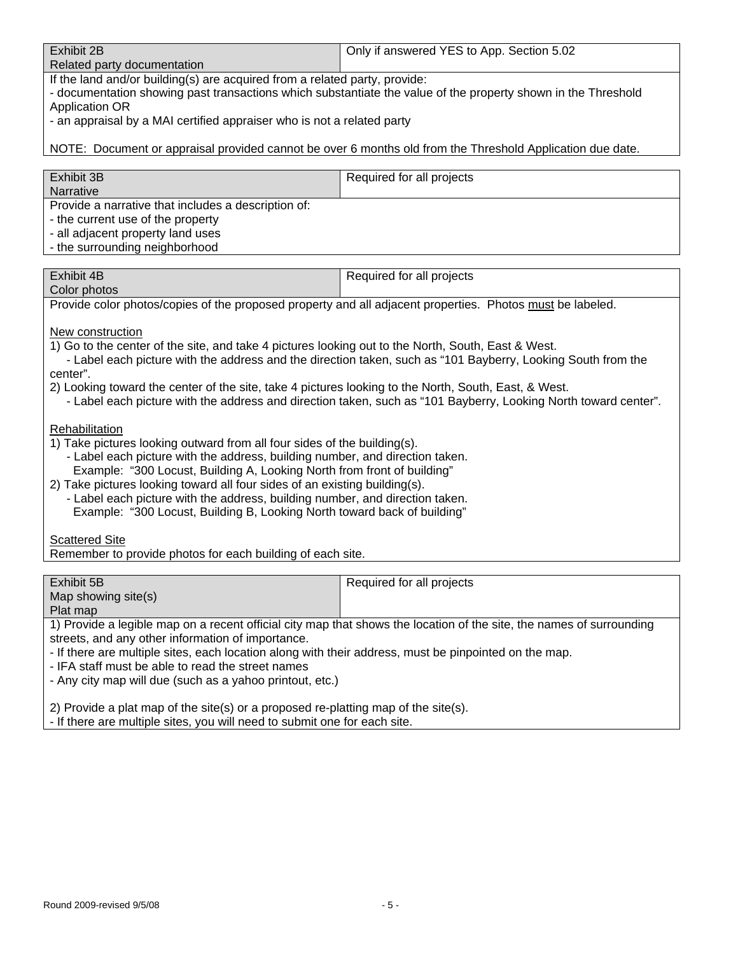| Exhibit 2B                  | Only if answered YES to App. Section 5.02 |
|-----------------------------|-------------------------------------------|
| Related party documentation |                                           |

If the land and/or building(s) are acquired from a related party, provide:

- documentation showing past transactions which substantiate the value of the property shown in the Threshold Application OR

- an appraisal by a MAI certified appraiser who is not a related party

NOTE: Document or appraisal provided cannot be over 6 months old from the Threshold Application due date.

| Exhibit 3B<br>Narrative                                                                                                                                         | Required for all projects |
|-----------------------------------------------------------------------------------------------------------------------------------------------------------------|---------------------------|
| Provide a narrative that includes a description of:<br>- the current use of the property<br>- all adjacent property land uses<br>- the surrounding neighborhood |                           |

| Exhibit 4B   | Required for all projects |
|--------------|---------------------------|
| Color photos |                           |

Provide color photos/copies of the proposed property and all adjacent properties. Photos must be labeled.

New construction

1) Go to the center of the site, and take 4 pictures looking out to the North, South, East & West.

 - Label each picture with the address and the direction taken, such as "101 Bayberry, Looking South from the center".

- 2) Looking toward the center of the site, take 4 pictures looking to the North, South, East, & West.
	- Label each picture with the address and direction taken, such as "101 Bayberry, Looking North toward center".

**Rehabilitation** 

- 1) Take pictures looking outward from all four sides of the building(s).
	- Label each picture with the address, building number, and direction taken. Example: "300 Locust, Building A, Looking North from front of building"
- 2) Take pictures looking toward all four sides of an existing building(s).
	- Label each picture with the address, building number, and direction taken. Example: "300 Locust, Building B, Looking North toward back of building"

Scattered Site

Remember to provide photos for each building of each site.

| Exhibit 5B                                                                                                           | Required for all projects |
|----------------------------------------------------------------------------------------------------------------------|---------------------------|
| Map showing site(s)                                                                                                  |                           |
| Plat map                                                                                                             |                           |
| 1) Provide a legible map on a recent official city map that shows the location of the site, the names of surrounding |                           |
| streets, and any other information of importance.                                                                    |                           |
| - If there are multiple sites, each location along with their address, must be pinpointed on the map.                |                           |
| - IFA staff must be able to read the street names                                                                    |                           |
| - Any city map will due (such as a yahoo printout, etc.)                                                             |                           |

2) Provide a plat map of the site(s) or a proposed re-platting map of the site(s).

- If there are multiple sites, you will need to submit one for each site.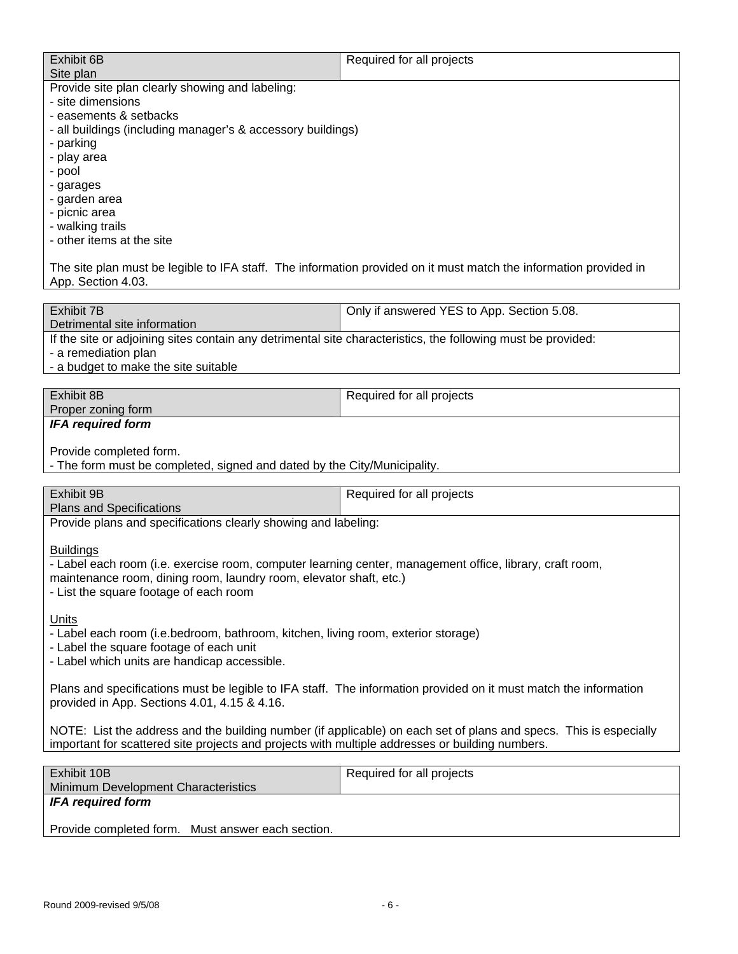| Exhibit 6B                                                  | Required for all projects |
|-------------------------------------------------------------|---------------------------|
| Site plan                                                   |                           |
| Provide site plan clearly showing and labeling:             |                           |
| - site dimensions                                           |                           |
| - easements & setbacks                                      |                           |
| - all buildings (including manager's & accessory buildings) |                           |
| - parking                                                   |                           |
| - play area                                                 |                           |
| - pool                                                      |                           |
| - garages                                                   |                           |
| - garden area                                               |                           |
| - picnic area                                               |                           |
| - walking trails                                            |                           |
| - other items at the site                                   |                           |
|                                                             |                           |
|                                                             |                           |

The site plan must be legible to IFA staff. The information provided on it must match the information provided in App. Section 4.03.

| Exhibit 7B                                                                                                   | <sup>1</sup> Only if answered YES to App. Section 5.08. |
|--------------------------------------------------------------------------------------------------------------|---------------------------------------------------------|
| Detrimental site information                                                                                 |                                                         |
| If the site or adjoining sites contain any detrimental site characteristics, the following must be provided: |                                                         |

- a remediation plan

- a budget to make the site suitable

| Exhibit 8B<br>Required for all projects |  |  |
|-----------------------------------------|--|--|
|                                         |  |  |
| Proper zoning form                      |  |  |
| <b>IFA required form</b>                |  |  |
|                                         |  |  |
| Provide completed form.                 |  |  |
|                                         |  |  |

- The form must be completed, signed and dated by the City/Municipality.

| <b>Exhibit 9B</b>               | Required for all projects |
|---------------------------------|---------------------------|
| <b>Plans and Specifications</b> |                           |

Provide plans and specifications clearly showing and labeling:

**Buildings** 

- Label each room (i.e. exercise room, computer learning center, management office, library, craft room,

maintenance room, dining room, laundry room, elevator shaft, etc.)

- List the square footage of each room

Units

- Label each room (i.e.bedroom, bathroom, kitchen, living room, exterior storage)

- Label the square footage of each unit

- Label which units are handicap accessible.

Plans and specifications must be legible to IFA staff. The information provided on it must match the information provided in App. Sections 4.01, 4.15 & 4.16.

NOTE: List the address and the building number (if applicable) on each set of plans and specs. This is especially important for scattered site projects and projects with multiple addresses or building numbers.

| Exhibit 10B                                       | Required for all projects |
|---------------------------------------------------|---------------------------|
| Minimum Development Characteristics               |                           |
| IFA required form                                 |                           |
|                                                   |                           |
| Provide completed form. Must answer each section. |                           |